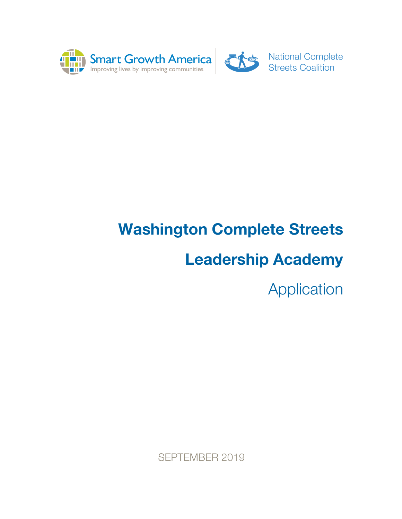



**National Complete Streets Coalition** 

# **Washington Complete Streets**

# **Leadership Academy**

Application

SEPTEMBER 2019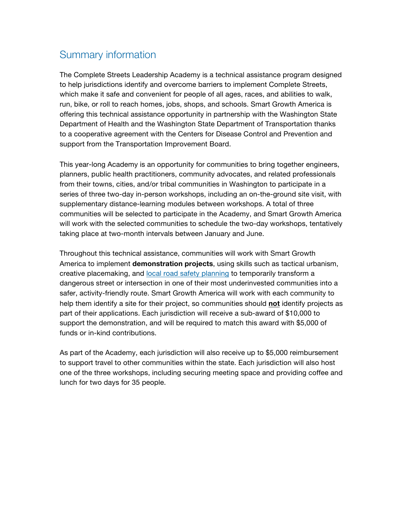## Summary information

The Complete Streets Leadership Academy is a technical assistance program designed to help jurisdictions identify and overcome barriers to implement Complete Streets, which make it safe and convenient for people of all ages, races, and abilities to walk, run, bike, or roll to reach homes, jobs, shops, and schools. Smart Growth America is offering this technical assistance opportunity in partnership with the Washington State Department of Health and the Washington State Department of Transportation thanks to a cooperative agreement with the Centers for Disease Control and Prevention and support from the Transportation Improvement Board.

This year-long Academy is an opportunity for communities to bring together engineers, planners, public health practitioners, community advocates, and related professionals from their towns, cities, and/or tribal communities in Washington to participate in a series of three two-day in-person workshops, including an on-the-ground site visit, with supplementary distance-learning modules between workshops. A total of three communities will be selected to participate in the Academy, and Smart Growth America will work with the selected communities to schedule the two-day workshops, tentatively taking place at two-month intervals between January and June.

Throughout this technical assistance, communities will work with Smart Growth America to implement **demonstration projects**, using skills such as tactical urbanism, creative placemaking, and [local road safety planning](https://www.wsdot.wa.gov/sites/default/files/2014/02/27/LP_Local-Road-Safety-Plans.pdf) to temporarily transform a dangerous street or intersection in one of their most underinvested communities into a safer, activity-friendly route. Smart Growth America will work with each community to help them identify a site for their project, so communities should **not** identify projects as part of their applications. Each jurisdiction will receive a sub-award of \$10,000 to support the demonstration, and will be required to match this award with \$5,000 of funds or in-kind contributions.

As part of the Academy, each jurisdiction will also receive up to \$5,000 reimbursement to support travel to other communities within the state. Each jurisdiction will also host one of the three workshops, including securing meeting space and providing coffee and lunch for two days for 35 people.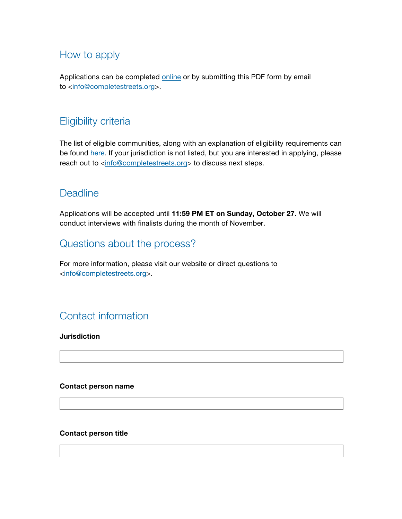# How to apply

Applications can be completed [online](https://smartgrowthamerica.org/program/national-complete-streets-coalition/workshops-and-technical-assistance/washington-complete-streets-leadership-academy-application/) or by submitting this PDF form by email to <info@completestreets.org>.

## Eligibility criteria

The list of eligible communities, along with an explanation of eligibility requirements can be found [here.](https://smartgrowthamerica.org/app/uploads/2019/09/Washington-Leadership-Academy-eligible-jurisdictions.pdf) If your jurisdiction is not listed, but you are interested in applying, please reach out to <info@completestreets.org> to discuss next steps.

## **Deadline**

Applications will be accepted until **11:59 PM ET on Sunday, October 27**. We will conduct interviews with finalists during the month of November.

## Questions about the process?

For more information, please visit our website or direct questions to <info@completestreets.org>.

# Contact information

**Jurisdiction**

#### **Contact person name**

#### **Contact person title**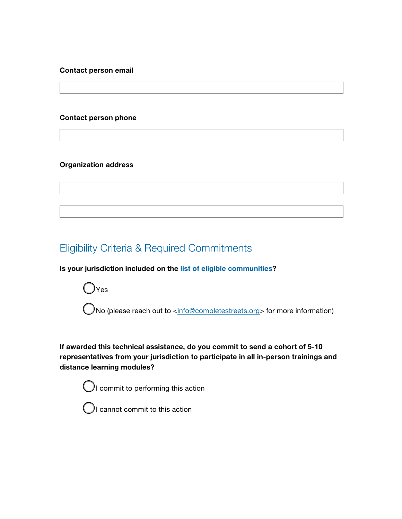#### **Contact person email**

#### **Contact person phone**

#### **Organization address**

## Eligibility Criteria & Required Commitments

#### **Is your jurisdiction included on the [list of eligible communities](https://smartgrowthamerica.org/app/uploads/2019/09/Washington-Leadership-Academy-eligible-jurisdictions.pdf)?**



**If awarded this technical assistance, do you commit to send a cohort of 5-10 representatives from your jurisdiction to participate in all in-person trainings and distance learning modules?**

)I commit to performing this action

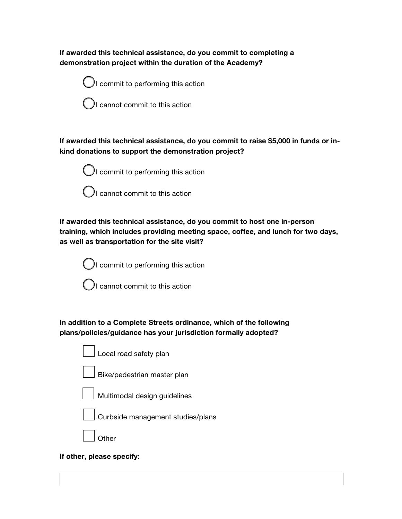**If awarded this technical assistance, do you commit to completing a demonstration project within the duration of the Academy?** 



**If awarded this technical assistance, do you commit to raise \$5,000 in funds or inkind donations to support the demonstration project?**

 $\bigcup$ I commit to performing this action  $\bigcirc$ I cannot commit to this action

**If awarded this technical assistance, do you commit to host one in-person training, which includes providing meeting space, coffee, and lunch for two days, as well as transportation for the site visit?**

I commit to performing this action

 $\bigcap$ I cannot commit to this action

**In addition to a Complete Streets ordinance, which of the following plans/policies/guidance has your jurisdiction formally adopted?**

| $\boxed{\phantom{a}}$ Local road safety plan |
|----------------------------------------------|
| Bike/pedestrian master plan                  |
| Multimodal design guidelines                 |
| Curbside management studies/plans            |

**Other** 

#### **If other, please specify:**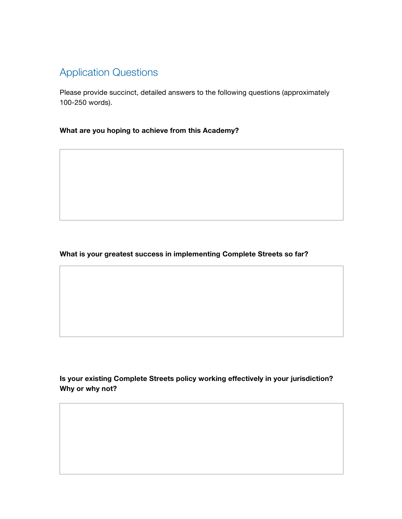# Application Questions

Please provide succinct, detailed answers to the following questions (approximately 100-250 words).

#### **What are you hoping to achieve from this Academy?**

### **What is your greatest success in implementing Complete Streets so far?**

**Is your existing Complete Streets policy working effectively in your jurisdiction? Why or why not?**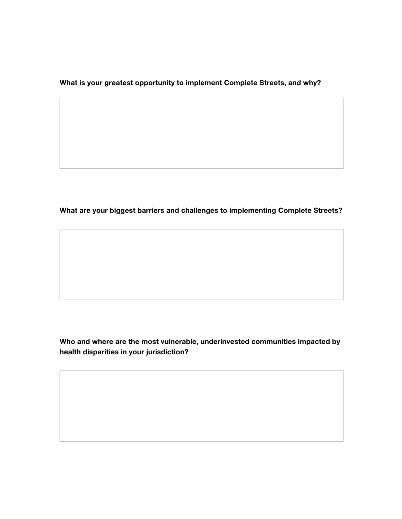### **What is your greatest opportunity to implement Complete Streets, and why?**

**What are your biggest barriers and challenges to implementing Complete Streets?** 

## **Who and where are the most vulnerable, underinvested communities impacted by health disparities in your jurisdiction?**